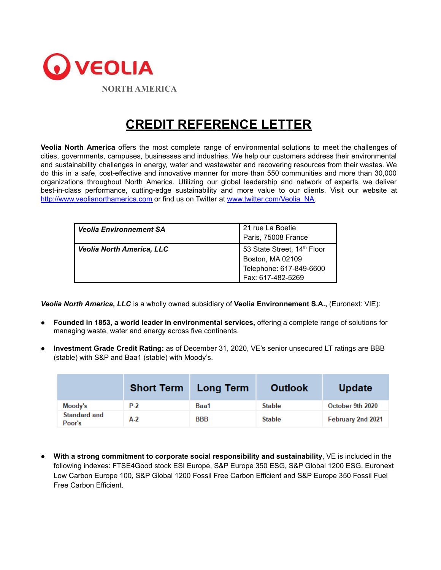

## **CREDIT REFERENCE LETTER**

**Veolia North America** offers the most complete range of environmental solutions to meet the challenges of cities, governments, campuses, businesses and industries. We help our customers address their environmental and sustainability challenges in energy, water and wastewater and recovering resources from their wastes. We do this in a safe, cost-effective and innovative manner for more than 550 communities and more than 30,000 organizations throughout North America. Utilizing our global leadership and network of experts, we deliver best-in-class performance, cutting-edge sustainability and more value to our clients. Visit our website at [http://www.veolianorthamerica.com](http://www.veolianorthamerica.com/) or find us on Twitter at [www.twitter.com/Veolia\\_NA.](http://www.twitter.com/Veolia_NA)

| <b>Veolia Environnement SA</b>   | 21 rue La Boetie<br>Paris, 75008 France                                                         |
|----------------------------------|-------------------------------------------------------------------------------------------------|
| <b>Veolia North America, LLC</b> | 53 State Street, 14th Floor<br>Boston, MA 02109<br>Telephone: 617-849-6600<br>Fax: 617-482-5269 |

*Veolia North America, LLC* is a wholly owned subsidiary of **Veolia Environnement S.A.,** (Euronext: VIE):

- **Founded in 1853, a world leader in environmental services,** offering a complete range of solutions for managing waste, water and energy across five continents.
- **Investment Grade Credit Rating:** as of December 31, 2020, VE's senior unsecured LT ratings are BBB (stable) with S&P and Baa1 (stable) with Moody's.

|                               | <b>Short Term</b> | Long Term  | <b>Outlook</b> | <b>Update</b>     |
|-------------------------------|-------------------|------------|----------------|-------------------|
| Moody's                       | $P-2$             | Baa1       | <b>Stable</b>  | October 9th 2020  |
| <b>Standard and</b><br>Poor's | $A-2$             | <b>BBB</b> | <b>Stable</b>  | February 2nd 2021 |

● **With a strong commitment to corporate social responsibility and sustainability**, VE is included in the following indexes: FTSE4Good stock ESI Europe, S&P Europe 350 ESG, S&P Global 1200 ESG, Euronext Low Carbon Europe 100, S&P Global 1200 Fossil Free Carbon Efficient and S&P Europe 350 Fossil Fuel Free Carbon Efficient.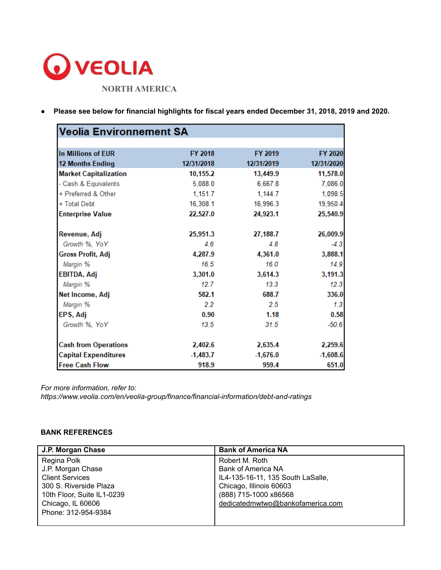

● **Please see below for financial highlights for fiscal years ended December 31, 2018, 2019 and 2020.**

| <b>Veolia Environnement SA</b> |            |            |            |
|--------------------------------|------------|------------|------------|
|                                |            |            |            |
| In Millions of EUR             | FY 2018    | FY 2019    | FY 2020    |
| <b>12 Months Ending</b>        | 12/31/2018 | 12/31/2019 | 12/31/2020 |
| <b>Market Capitalization</b>   | 10,155.2   | 13,449.9   | 11,578.0   |
| - Cash & Equivalents           | 5,088.0    | 6,667.8    | 7,086.0    |
| + Preferred & Other            | 1,151.7    | 1,144.7    | 1,098.5    |
| + Total Debt                   | 16,308.1   | 16,996.3   | 19,950.4   |
| <b>Enterprise Value</b>        | 22,527.0   | 24,923.1   | 25,540.9   |
| Revenue, Adj                   | 25,951.3   | 27,188.7   | 26,009.9   |
| Growth %, YoY                  | 4.6        | 4.8        | $-4.3$     |
| <b>Gross Profit, Adj</b>       | 4,287.9    | 4,361.0    | 3,888.1    |
| Margin %                       | 16.5       | 16.0       | 14.9       |
| EBITDA, Adj                    | 3,301.0    | 3,614.3    | 3,191.3    |
| Margin %                       | 12.7       | 13.3       | 12.3       |
| Net Income, Adj                | 582.1      | 688.7      | 336.0      |
| Margin %                       | 2.2        | 2.5        | 1.3        |
| EPS, Adj                       | 0.90       | 1.18       | 0.58       |
| Growth %, YoY                  | 13.5       | 31.5       | $-50.6$    |
| <b>Cash from Operations</b>    | 2,402.6    | 2,635.4    | 2,259.6    |
| <b>Capital Expenditures</b>    | $-1,483.7$ | $-1,676.0$ | $-1,608.6$ |
| <b>Free Cash Flow</b>          | 918.9      | 959.4      | 651.0      |

*For more information, refer to:*

*[https://www.veolia.com/en/veolia-group/finance/financial-information/debt-and-ratings](http://www.veolia.com/en/veolia-group/finance/financial-information/debt-and-ratings)*

## **BANK REFERENCES**

| J.P. Morgan Chase          | <b>Bank of America NA</b>         |
|----------------------------|-----------------------------------|
| Regina Polk                | Robert M. Roth                    |
| J.P. Morgan Chase          | <b>Bank of America NA</b>         |
| <b>Client Services</b>     | IL4-135-16-11, 135 South LaSalle, |
| 300 S. Riverside Plaza     | Chicago, Illinois 60603           |
| 10th Floor, Suite IL1-0239 | (888) 715-1000 x86568             |
| Chicago, IL 60606          | dedicatedmwtwo@bankofamerica.com  |
| Phone: 312-954-9384        |                                   |
|                            |                                   |